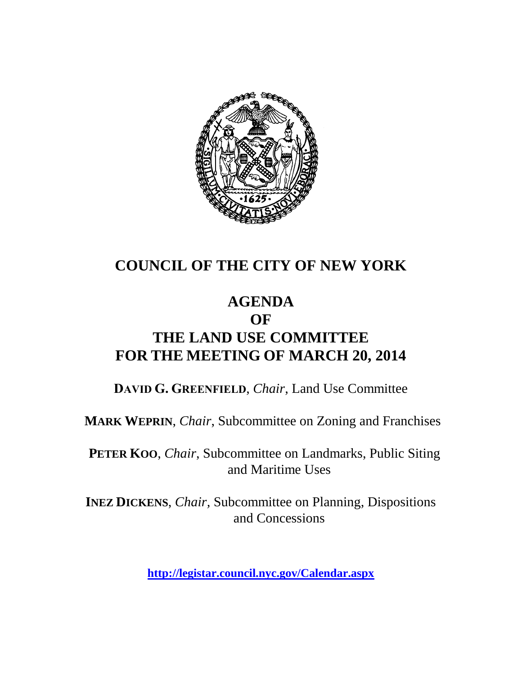

# **COUNCIL OF THE CITY OF NEW YORK**

## **AGENDA OF THE LAND USE COMMITTEE FOR THE MEETING OF MARCH 20, 2014**

**DAVID G. GREENFIELD**, *Chair*, Land Use Committee

**MARK WEPRIN**, *Chair*, Subcommittee on Zoning and Franchises

**PETER KOO**, *Chair*, Subcommittee on Landmarks, Public Siting and Maritime Uses

**INEZ DICKENS**, *Chair,* Subcommittee on Planning, Dispositions and Concessions

**<http://legistar.council.nyc.gov/Calendar.aspx>**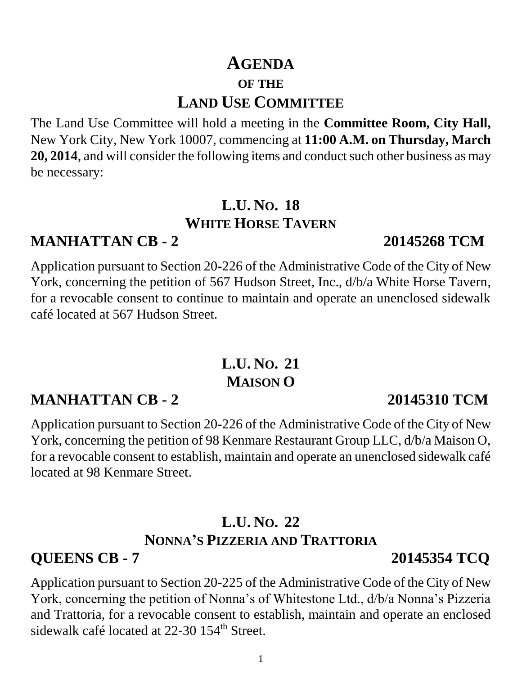## **AGENDA OF THE LAND USE COMMITTEE**

The Land Use Committee will hold a meeting in the **Committee Room, City Hall,** New York City, New York 10007, commencing at **11:00 A.M. on Thursday, March 20, 2014**, and will consider the following items and conduct such other business as may be necessary:

## **L.U. NO. 18 WHITE HORSE TAVERN**

# **MANHATTAN CB - 2 20145268 TCM**

Application pursuant to Section 20-226 of the Administrative Code of the City of New York, concerning the petition of 567 Hudson Street, Inc., d/b/a White Horse Tavern, for a revocable consent to continue to maintain and operate an unenclosed sidewalk café located at 567 Hudson Street.

# **L.U. NO. 21 MAISON O**

# **MANHATTAN CB - 2 20145310 TCM**

Application pursuant to Section 20-226 of the Administrative Code of the City of New York, concerning the petition of 98 Kenmare Restaurant Group LLC, d/b/a Maison O, for a revocable consent to establish, maintain and operate an unenclosed sidewalk café located at 98 Kenmare Street.

### **L.U. NO. 22 NONNA'S PIZZERIA AND TRATTORIA**

# **QUEENS CB - 7 20145354 TCQ**

Application pursuant to Section 20-225 of the Administrative Code of the City of New York, concerning the petition of Nonna's of Whitestone Ltd., d/b/a Nonna's Pizzeria and Trattoria, for a revocable consent to establish, maintain and operate an enclosed sidewalk café located at 22-30 154<sup>th</sup> Street.